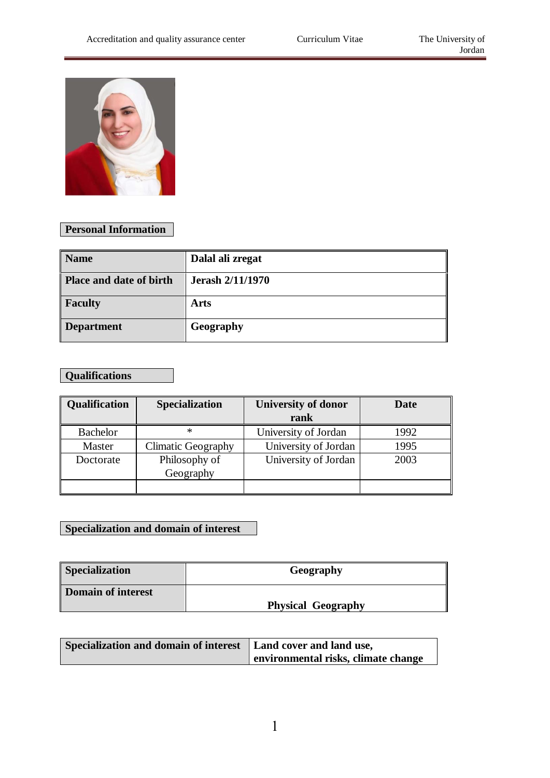

## **Personal Information**

| <b>Name</b>             | Dalal ali zregat        |
|-------------------------|-------------------------|
| Place and date of birth | <b>Jerash 2/11/1970</b> |
| <b>Faculty</b>          | Arts                    |
| <b>Department</b>       | Geography               |

# **Qualifications**

| Qualification   | <b>Specialization</b>      | <b>University of donor</b> | Date |
|-----------------|----------------------------|----------------------------|------|
|                 |                            | rank                       |      |
| <b>Bachelor</b> | ∗                          | University of Jordan       | 1992 |
| Master          | Climatic Geography         | University of Jordan       | 1995 |
| Doctorate       | Philosophy of<br>Geography | University of Jordan       | 2003 |
|                 |                            |                            |      |

#### **Specialization and domain of interest**

| <b>Specialization</b> | Geography                 |
|-----------------------|---------------------------|
| Domain of interest    | <b>Physical Geography</b> |

| Specialization and domain of interest   Land cover and land use, |                                     |
|------------------------------------------------------------------|-------------------------------------|
|                                                                  | environmental risks, climate change |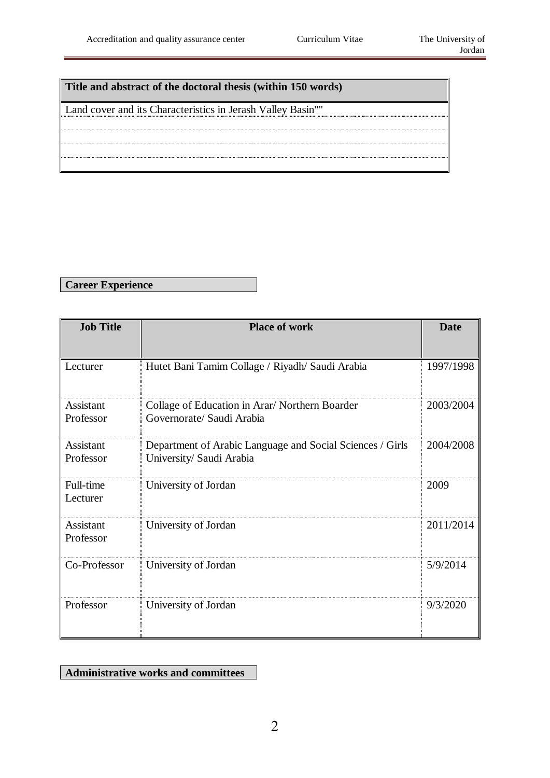#### **Title and abstract of the doctoral thesis (within 150 words)**

Land cover and its Characteristics in Jerash Valley Basin""

**Career Experience**

| <b>Job Title</b>       | <b>Place of work</b>                                                                  | <b>Date</b> |
|------------------------|---------------------------------------------------------------------------------------|-------------|
|                        |                                                                                       |             |
| Lecturer               | Hutet Bani Tamim Collage / Riyadh/ Saudi Arabia                                       | 1997/1998   |
| Assistant<br>Professor | Collage of Education in Arar/Northern Boarder<br>Governorate/ Saudi Arabia            | 2003/2004   |
| Assistant<br>Professor | Department of Arabic Language and Social Sciences / Girls<br>University/ Saudi Arabia | 2004/2008   |
| Full-time<br>Lecturer  | University of Jordan                                                                  | 2009        |
| Assistant<br>Professor | University of Jordan                                                                  | 2011/2014   |
| Co-Professor           | University of Jordan                                                                  | 5/9/2014    |
| Professor              | University of Jordan                                                                  | 9/3/2020    |

#### **Administrative works and committees**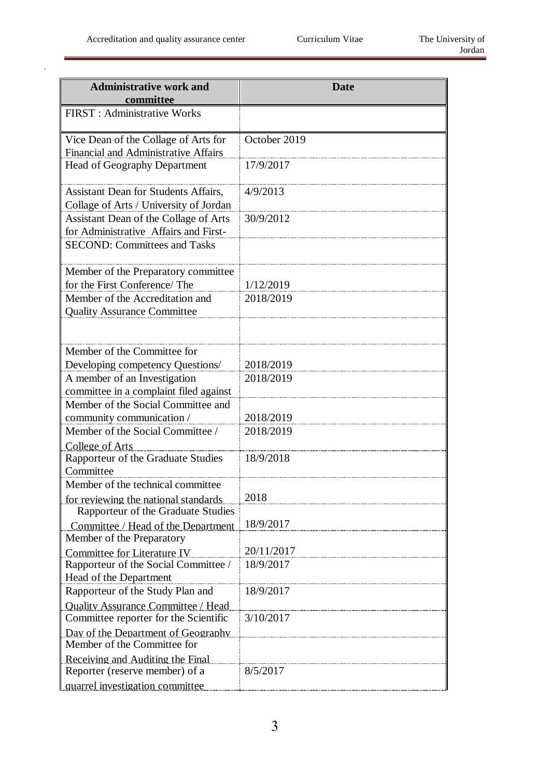ń

J

| <b>Administrative work and</b>              | <b>Date</b>  |
|---------------------------------------------|--------------|
| committee                                   |              |
| <b>FIRST</b> : Administrative Works         |              |
| Vice Dean of the Collage of Arts for        | October 2019 |
| Financial and Administrative Affairs        |              |
| <b>Head of Geography Department</b>         | 17/9/2017    |
| <b>Assistant Dean for Students Affairs,</b> | 4/9/2013     |
| Collage of Arts / University of Jordan      |              |
| Assistant Dean of the Collage of Arts       | 30/9/2012    |
| for Administrative Affairs and First-       |              |
| <b>SECOND: Committees and Tasks</b>         |              |
|                                             |              |
| Member of the Preparatory committee         |              |
| for the First Conference/ The               | 1/12/2019    |
| Member of the Accreditation and             | 2018/2019    |
| <b>Quality Assurance Committee</b>          |              |
|                                             |              |
|                                             |              |
| Member of the Committee for                 |              |
| Developing competency Questions/            | 2018/2019    |
| A member of an Investigation                | 2018/2019    |
| committee in a complaint filed against      |              |
| Member of the Social Committee and          |              |
| community communication /                   | 2018/2019    |
| Member of the Social Committee /            | 2018/2019    |
| College of Arts                             |              |
| Rapporteur of the Graduate Studies          | 18/9/2018    |
| Committee                                   |              |
| Member of the technical committee           |              |
| for reviewing the national standards        | 2018         |
| Rapporteur of the Graduate Studies          |              |
| Committee / Head of the Department          | 18/9/2017    |
| Member of the Preparatory                   |              |
| <b>Committee for Literature IV</b>          | 20/11/2017   |
| Rapporteur of the Social Committee /        | 18/9/2017    |
| Head of the Department                      |              |
| Rapporteur of the Study Plan and            | 18/9/2017    |
| <b>Ouality Assurance Committee / Head</b>   |              |
| Committee reporter for the Scientific       | 3/10/2017    |
| Day of the Department of Geography          |              |
| Member of the Committee for                 |              |
| Receiving and Auditing the Final            |              |
| Reporter (reserve member) of a              | 8/5/2017     |
| quarrel investigation committee             |              |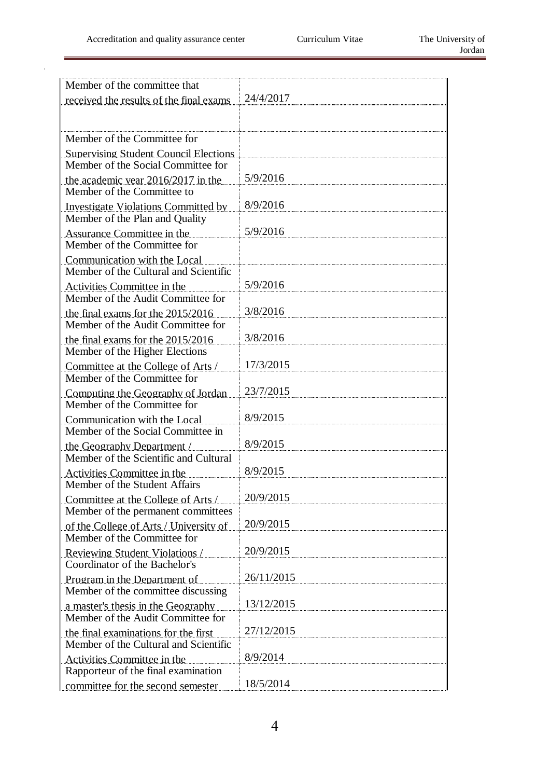ń

| Member of the committee that                                                 |            |
|------------------------------------------------------------------------------|------------|
| received the results of the final exams                                      | 24/4/2017  |
|                                                                              |            |
|                                                                              |            |
| Member of the Committee for                                                  |            |
| <b>Supervising Student Council Elections</b>                                 |            |
| Member of the Social Committee for                                           |            |
| the academic year $2016/2017$ in the                                         | 5/9/2016   |
| Member of the Committee to                                                   | 8/9/2016   |
| <b>Investigate Violations Committed by</b><br>Member of the Plan and Quality |            |
|                                                                              | 5/9/2016   |
| <b>Assurance Committee in the</b><br>Member of the Committee for             |            |
| Communication with the Local                                                 |            |
| Member of the Cultural and Scientific                                        |            |
| Activities Committee in the                                                  | 5/9/2016   |
| Member of the Audit Committee for                                            |            |
| the final exams for the $2015/2016$                                          | 3/8/2016   |
| Member of the Audit Committee for                                            |            |
| the final exams for the 2015/2016                                            | 3/8/2016   |
| Member of the Higher Elections                                               |            |
| Committee at the College of Arts /                                           | 17/3/2015  |
| Member of the Committee for                                                  |            |
| Computing the Geography of Jordan                                            | 23/7/2015  |
| Member of the Committee for                                                  |            |
| Communication with the Local                                                 | 8/9/2015   |
| Member of the Social Committee in                                            | 8/9/2015   |
| the Geography Department /<br>Member of the Scientific and Cultural          |            |
|                                                                              | 8/9/2015   |
| <b>Activities Committee in the</b><br>Member of the Student Affairs          |            |
| Committee at the College of Arts /                                           | 20/9/2015  |
| Member of the permanent committees                                           |            |
| of the College of Arts / University of                                       | 20/9/2015  |
| Member of the Committee for                                                  |            |
| <b>Reviewing Student Violations</b> /                                        | 20/9/2015  |
| Coordinator of the Bachelor's                                                |            |
| Program in the Department of                                                 | 26/11/2015 |
| Member of the committee discussing                                           |            |
| a master's thesis in the Geography                                           | 13/12/2015 |
| Member of the Audit Committee for                                            |            |
| the final examinations for the first                                         | 27/12/2015 |
| Member of the Cultural and Scientific                                        |            |
| <b>Activities Committee in the</b>                                           | 8/9/2014   |
| Rapporteur of the final examination                                          | 18/5/2014  |
| committee for the second semester                                            |            |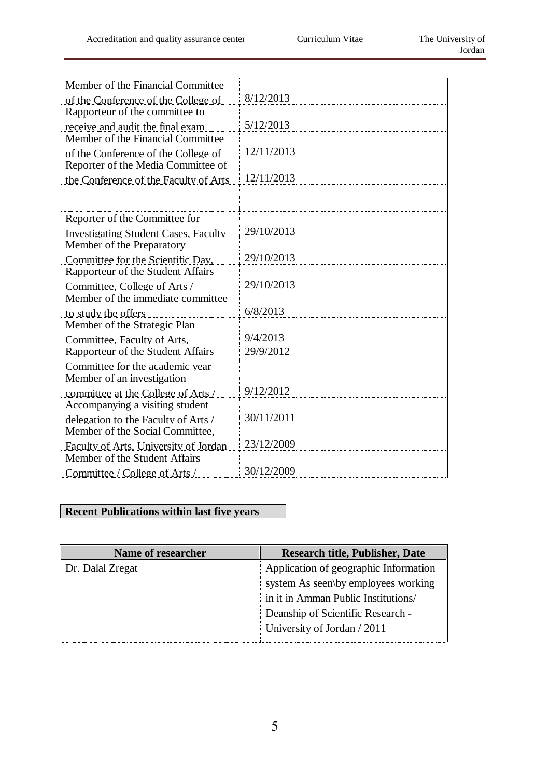ŕ

| 8/12/2013  |
|------------|
|            |
| 5/12/2013  |
|            |
| 12/11/2013 |
|            |
| 12/11/2013 |
|            |
|            |
|            |
| 29/10/2013 |
|            |
| 29/10/2013 |
|            |
| 29/10/2013 |
|            |
| 6/8/2013   |
|            |
| 9/4/2013   |
| 29/9/2012  |
|            |
|            |
| 9/12/2012  |
|            |
| 30/11/2011 |
|            |
| 23/12/2009 |
|            |
| 30/12/2009 |
|            |

## **Recent Publications within last five years**

| Name of researcher | <b>Research title, Publisher, Date</b> |
|--------------------|----------------------------------------|
| Dr. Dalal Zregat   | Application of geographic Information  |
|                    | system As seen\by employees working    |
|                    | in it in Amman Public Institutions/    |
|                    | Deanship of Scientific Research -      |
|                    | University of Jordan / 2011            |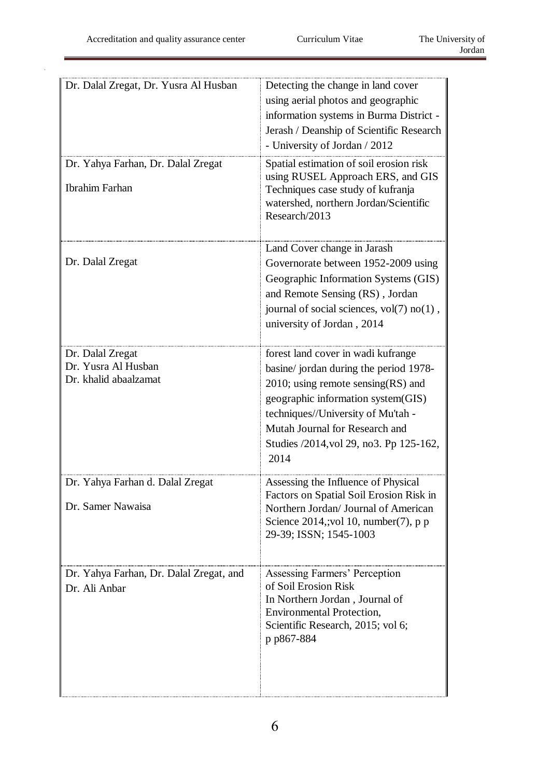| Dr. Dalal Zregat, Dr. Yusra Al Husban                            | Detecting the change in land cover<br>using aerial photos and geographic<br>information systems in Burma District -<br>Jerash / Deanship of Scientific Research<br>- University of Jordan / 2012                                                                                        |
|------------------------------------------------------------------|-----------------------------------------------------------------------------------------------------------------------------------------------------------------------------------------------------------------------------------------------------------------------------------------|
| Dr. Yahya Farhan, Dr. Dalal Zregat<br><b>Ibrahim Farhan</b>      | Spatial estimation of soil erosion risk<br>using RUSEL Approach ERS, and GIS<br>Techniques case study of kufranja<br>watershed, northern Jordan/Scientific<br>Research/2013                                                                                                             |
| Dr. Dalal Zregat                                                 | Land Cover change in Jarash<br>Governorate between 1952-2009 using<br>Geographic Information Systems (GIS)<br>and Remote Sensing (RS), Jordan<br>journal of social sciences, vol(7) no(1),<br>university of Jordan, 2014                                                                |
| Dr. Dalal Zregat<br>Dr. Yusra Al Husban<br>Dr. khalid abaalzamat | forest land cover in wadi kufrange<br>basine/ jordan during the period 1978-<br>$2010$ ; using remote sensing (RS) and<br>geographic information system(GIS)<br>techniques//University of Mu'tah -<br>Mutah Journal for Research and<br>Studies /2014, vol 29, no3. Pp 125-162,<br>2014 |
| Dr. Yahya Farhan d. Dalal Zregat<br>Dr. Samer Nawaisa            | Assessing the Influence of Physical<br>Factors on Spatial Soil Erosion Risk in<br>Northern Jordan/ Journal of American<br>Science $2014$ , vol 10, number(7), p p<br>29-39; ISSN; 1545-1003                                                                                             |
| Dr. Yahya Farhan, Dr. Dalal Zregat, and<br>Dr. Ali Anbar         | <b>Assessing Farmers' Perception</b><br>of Soil Erosion Risk<br>In Northern Jordan, Journal of<br><b>Environmental Protection,</b><br>Scientific Research, 2015; vol 6;<br>p p867-884                                                                                                   |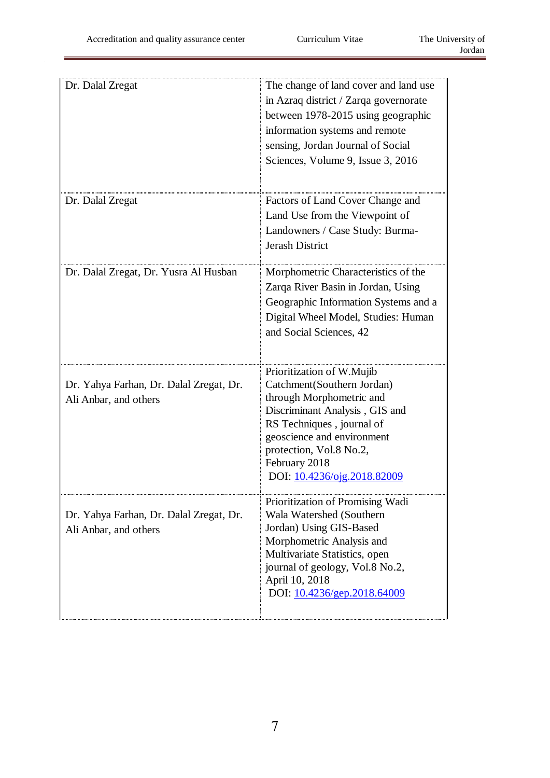ń

| Dr. Dalal Zregat                                                 | The change of land cover and land use<br>in Azraq district / Zarqa governorate<br>between 1978-2015 using geographic<br>information systems and remote<br>sensing, Jordan Journal of Social<br>Sciences, Volume 9, Issue 3, 2016                            |
|------------------------------------------------------------------|-------------------------------------------------------------------------------------------------------------------------------------------------------------------------------------------------------------------------------------------------------------|
| Dr. Dalal Zregat                                                 | Factors of Land Cover Change and<br>Land Use from the Viewpoint of<br>Landowners / Case Study: Burma-<br><b>Jerash District</b>                                                                                                                             |
| Dr. Dalal Zregat, Dr. Yusra Al Husban                            | Morphometric Characteristics of the<br>Zarqa River Basin in Jordan, Using<br>Geographic Information Systems and a<br>Digital Wheel Model, Studies: Human<br>and Social Sciences, 42                                                                         |
| Dr. Yahya Farhan, Dr. Dalal Zregat, Dr.<br>Ali Anbar, and others | Prioritization of W.Mujib<br>Catchment(Southern Jordan)<br>through Morphometric and<br>Discriminant Analysis, GIS and<br>RS Techniques, journal of<br>geoscience and environment<br>protection, Vol.8 No.2,<br>February 2018<br>DOI: 10.4236/ojg.2018.82009 |
| Dr. Yahya Farhan, Dr. Dalal Zregat, Dr.<br>Ali Anbar, and others | Prioritization of Promising Wadi<br>Wala Watershed (Southern<br>Jordan) Using GIS-Based<br>Morphometric Analysis and<br>Multivariate Statistics, open<br>journal of geology, Vol.8 No.2,<br>April 10, 2018<br>DOI: 10.4236/gep.2018.64009                   |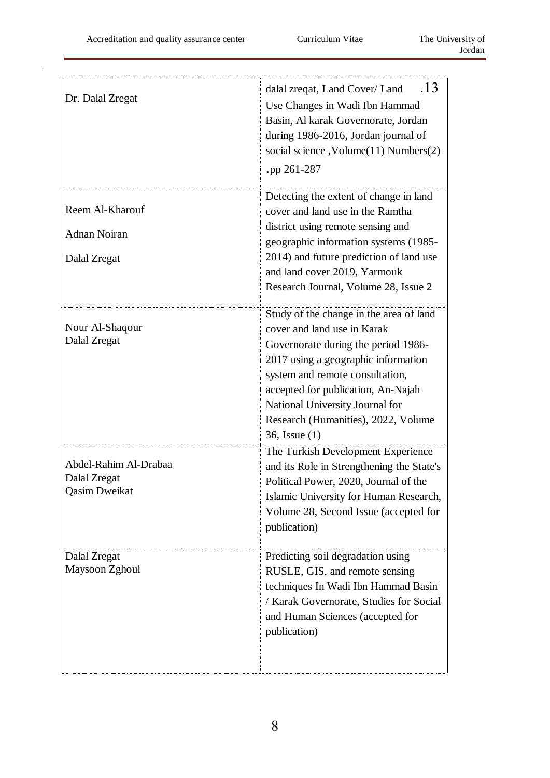| Dr. Dalal Zregat                                              | .13<br>dalal zreqat, Land Cover/ Land<br>Use Changes in Wadi Ibn Hammad<br>Basin, Al karak Governorate, Jordan<br>during 1986-2016, Jordan journal of<br>social science, Volume(11) Numbers(2)<br>pp 261-287                                                                                                               |
|---------------------------------------------------------------|----------------------------------------------------------------------------------------------------------------------------------------------------------------------------------------------------------------------------------------------------------------------------------------------------------------------------|
| Reem Al-Kharouf<br><b>Adnan Noiran</b><br>Dalal Zregat        | Detecting the extent of change in land<br>cover and land use in the Ramtha<br>district using remote sensing and<br>geographic information systems (1985-<br>2014) and future prediction of land use<br>and land cover 2019, Yarmouk<br>Research Journal, Volume 28, Issue 2                                                |
| Nour Al-Shaqour<br>Dalal Zregat                               | Study of the change in the area of land<br>cover and land use in Karak<br>Governorate during the period 1986-<br>2017 using a geographic information<br>system and remote consultation,<br>accepted for publication, An-Najah<br>National University Journal for<br>Research (Humanities), 2022, Volume<br>36, Issue $(1)$ |
| Abdel-Rahim Al-Drabaa<br>Dalal Zregat<br><b>Qasim Dweikat</b> | The Turkish Development Experience<br>and its Role in Strengthening the State's<br>Political Power, 2020, Journal of the<br>Islamic University for Human Research,<br>Volume 28, Second Issue (accepted for<br>publication)                                                                                                |
| Dalal Zregat<br>Maysoon Zghoul                                | Predicting soil degradation using<br>RUSLE, GIS, and remote sensing<br>techniques In Wadi Ibn Hammad Basin<br>/ Karak Governorate, Studies for Social<br>and Human Sciences (accepted for<br>publication)                                                                                                                  |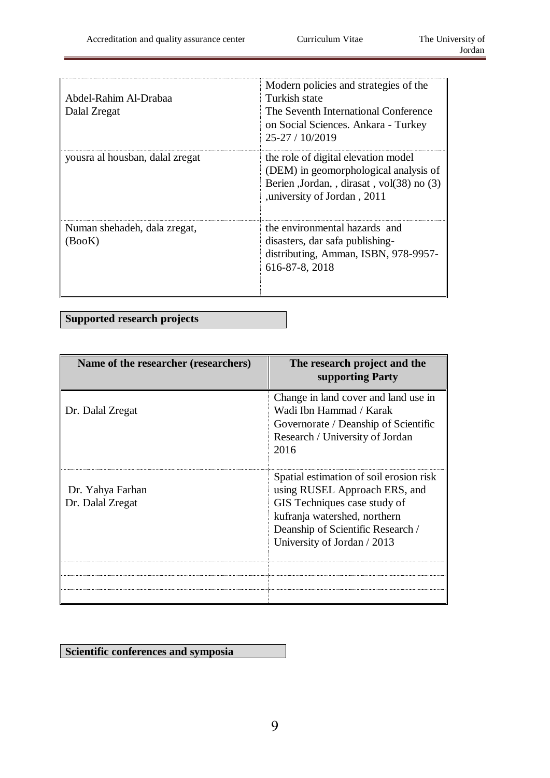| Abdel-Rahim Al-Drabaa<br>Dalal Zregat  | Modern policies and strategies of the<br>Turkish state<br>The Seventh International Conference<br>on Social Sciences. Ankara - Turkey<br>$25-27/10/2019$  |
|----------------------------------------|-----------------------------------------------------------------------------------------------------------------------------------------------------------|
| yousra al housban, dalal zregat        | the role of digital elevation model<br>(DEM) in geomorphological analysis of<br>Berien , Jordan, , dirasat, vol(38) no (3)<br>university of Jordan, 2011, |
| Numan shehadeh, dala zregat,<br>(BooK) | the environmental hazards and<br>disasters, dar safa publishing-<br>distributing, Amman, ISBN, 978-9957-<br>616-87-8, 2018                                |

**Supported research projects**

| Name of the researcher (researchers) | The research project and the<br>supporting Party                                                                                                                                                             |
|--------------------------------------|--------------------------------------------------------------------------------------------------------------------------------------------------------------------------------------------------------------|
| Dr. Dalal Zregat                     | Change in land cover and land use in<br>Wadi Ibn Hammad / Karak<br>Governorate / Deanship of Scientific<br>Research / University of Jordan<br>2016                                                           |
| Dr. Yahya Farhan<br>Dr. Dalal Zregat | Spatial estimation of soil erosion risk<br>using RUSEL Approach ERS, and<br>GIS Techniques case study of<br>kufranja watershed, northern<br>Deanship of Scientific Research /<br>University of Jordan / 2013 |
|                                      |                                                                                                                                                                                                              |
|                                      |                                                                                                                                                                                                              |

**Scientific conferences and symposia**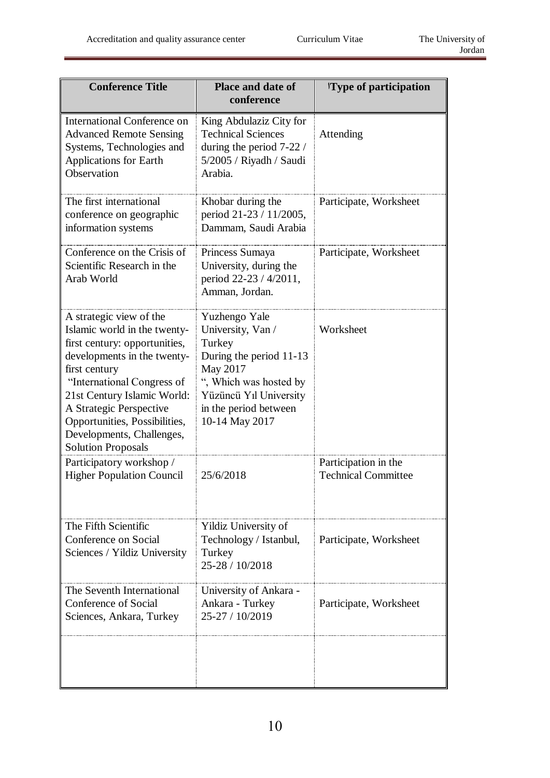| <b>Conference Title</b>                                                                                                                                                                                                                                                                                                     | <b>Place and date of</b><br>conference                                                                                                                                             | 'Type of participation                             |
|-----------------------------------------------------------------------------------------------------------------------------------------------------------------------------------------------------------------------------------------------------------------------------------------------------------------------------|------------------------------------------------------------------------------------------------------------------------------------------------------------------------------------|----------------------------------------------------|
| <b>International Conference on</b><br><b>Advanced Remote Sensing</b><br>Systems, Technologies and<br><b>Applications for Earth</b><br>Observation                                                                                                                                                                           | King Abdulaziz City for<br><b>Technical Sciences</b><br>during the period 7-22 /<br>5/2005 / Riyadh / Saudi<br>Arabia.                                                             | Attending                                          |
| The first international<br>conference on geographic<br>information systems                                                                                                                                                                                                                                                  | Khobar during the<br>period 21-23 / 11/2005,<br>Dammam, Saudi Arabia                                                                                                               | Participate, Worksheet                             |
| Conference on the Crisis of<br>Scientific Research in the<br>Arab World                                                                                                                                                                                                                                                     | Princess Sumaya<br>University, during the<br>period 22-23 / 4/2011,<br>Amman, Jordan.                                                                                              | Participate, Worksheet                             |
| A strategic view of the<br>Islamic world in the twenty-<br>first century: opportunities,<br>developments in the twenty-<br>first century<br>"International Congress of<br>21st Century Islamic World:<br>A Strategic Perspective<br>Opportunities, Possibilities,<br>Developments, Challenges,<br><b>Solution Proposals</b> | Yuzhengo Yale<br>University, Van /<br>Turkey<br>During the period 11-13<br>May 2017<br>", Which was hosted by<br>Yüzüncü Yıl University<br>in the period between<br>10-14 May 2017 | Worksheet                                          |
| Participatory workshop /<br><b>Higher Population Council</b>                                                                                                                                                                                                                                                                | 25/6/2018                                                                                                                                                                          | Participation in the<br><b>Technical Committee</b> |
| The Fifth Scientific<br>Conference on Social<br>Sciences / Yildiz University                                                                                                                                                                                                                                                | Yildiz University of<br>Technology / Istanbul,<br>Turkey<br>25-28 / 10/2018                                                                                                        | Participate, Worksheet                             |
| The Seventh International<br>Conference of Social<br>Sciences, Ankara, Turkey                                                                                                                                                                                                                                               | University of Ankara -<br>Ankara - Turkey<br>25-27 / 10/2019                                                                                                                       | Participate, Worksheet                             |
|                                                                                                                                                                                                                                                                                                                             |                                                                                                                                                                                    |                                                    |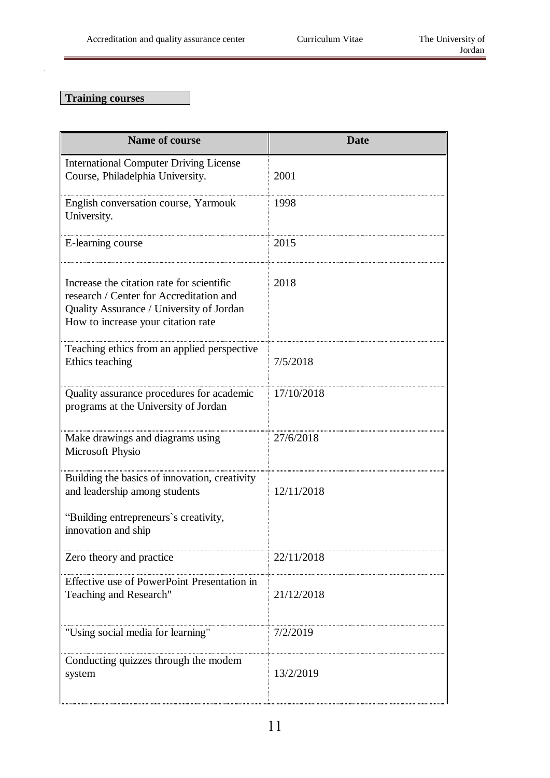## **Training courses**

| <b>Name of course</b>                                                                                                                                                  | <b>Date</b> |
|------------------------------------------------------------------------------------------------------------------------------------------------------------------------|-------------|
| <b>International Computer Driving License</b><br>Course, Philadelphia University.                                                                                      | 2001        |
| English conversation course, Yarmouk<br>University.                                                                                                                    | 1998        |
| E-learning course                                                                                                                                                      | 2015        |
| Increase the citation rate for scientific<br>research / Center for Accreditation and<br>Quality Assurance / University of Jordan<br>How to increase your citation rate | 2018        |
| Teaching ethics from an applied perspective<br>Ethics teaching                                                                                                         | 7/5/2018    |
| Quality assurance procedures for academic<br>programs at the University of Jordan                                                                                      | 17/10/2018  |
| Make drawings and diagrams using<br>Microsoft Physio                                                                                                                   | 27/6/2018   |
| Building the basics of innovation, creativity<br>and leadership among students<br>"Building entrepreneurs's creativity,<br>innovation and ship                         | 12/11/2018  |
| Zero theory and practice                                                                                                                                               | 22/11/2018  |
| Effective use of PowerPoint Presentation in<br>Teaching and Research"                                                                                                  | 21/12/2018  |
| "Using social media for learning"                                                                                                                                      | 7/2/2019    |
| Conducting quizzes through the modem<br>system                                                                                                                         | 13/2/2019   |